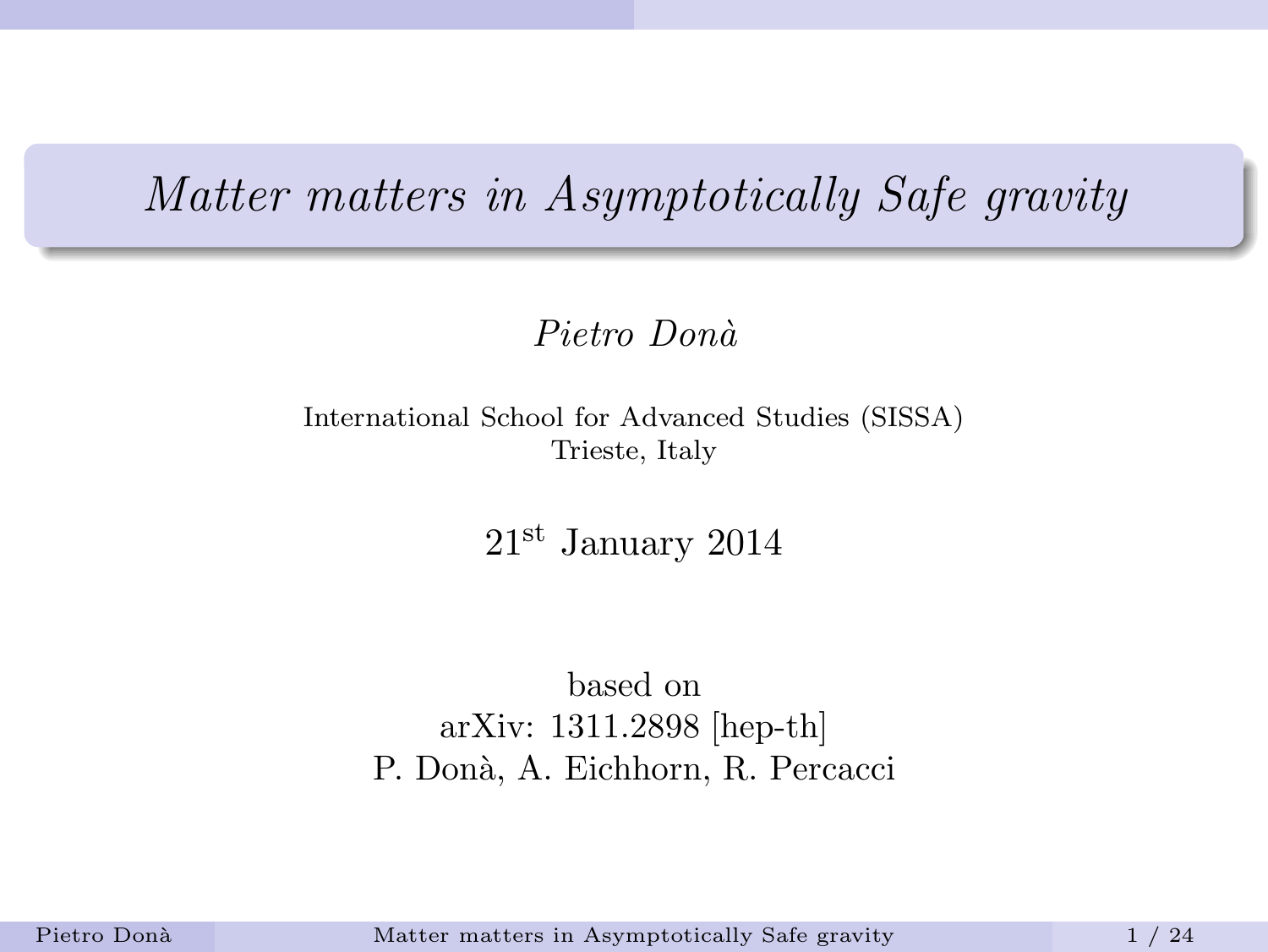### Matter matters in Asymptotically Safe gravity

#### Pietro Donà

International School for Advanced Studies (SISSA) Trieste, Italy

<span id="page-0-0"></span>21st January 2014

based on arXiv: 1311.2898 [hep-th] P. Donà, A. Eichhorn, R. Percacci

Pietro Donà [Matter matters in Asymptotically Safe gravity](#page-23-0) 1 / 24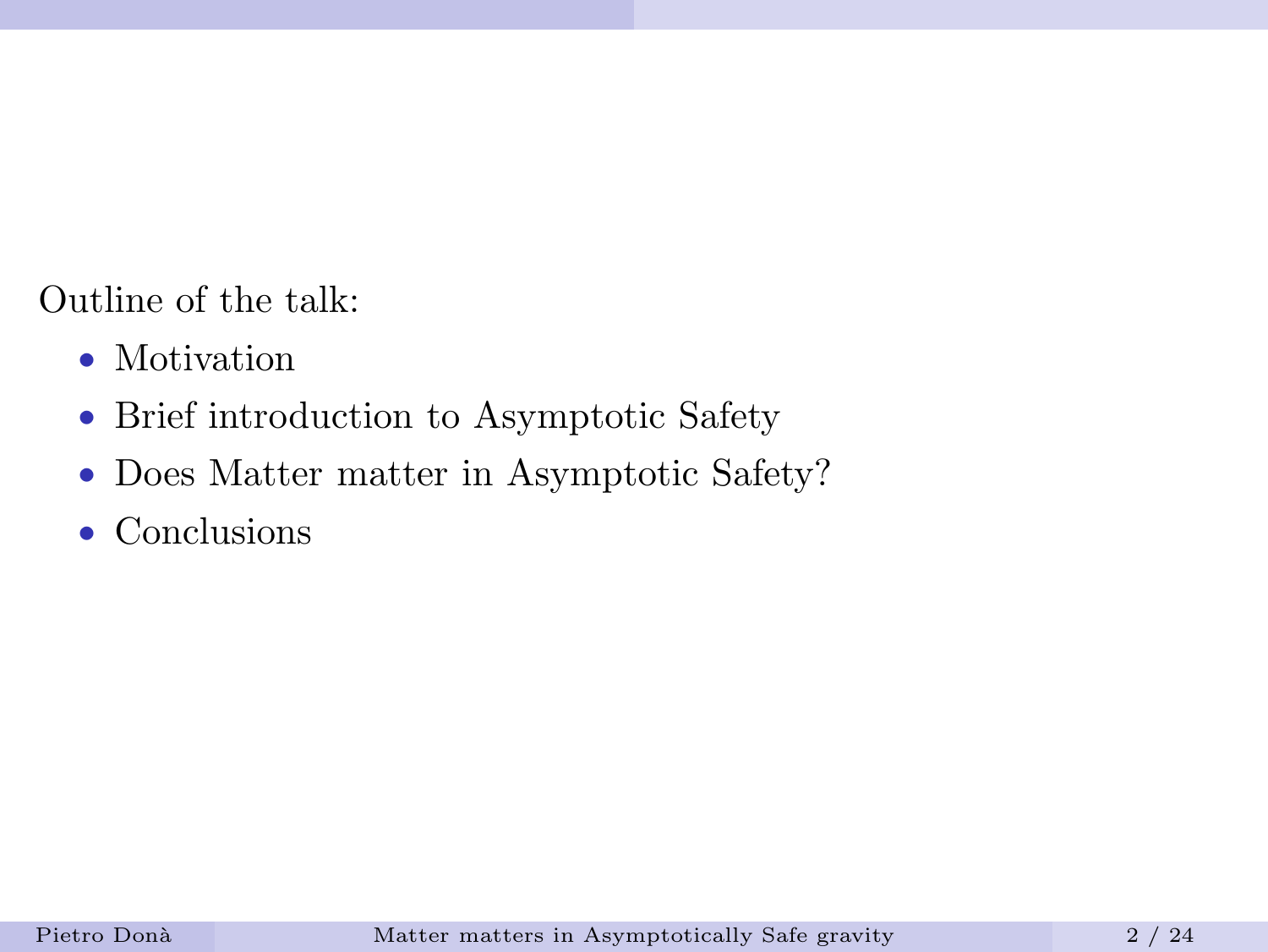Outline of the talk:

- Motivation
- Brief introduction to Asymptotic Safety
- Does Matter matter in Asymptotic Safety?
- Conclusions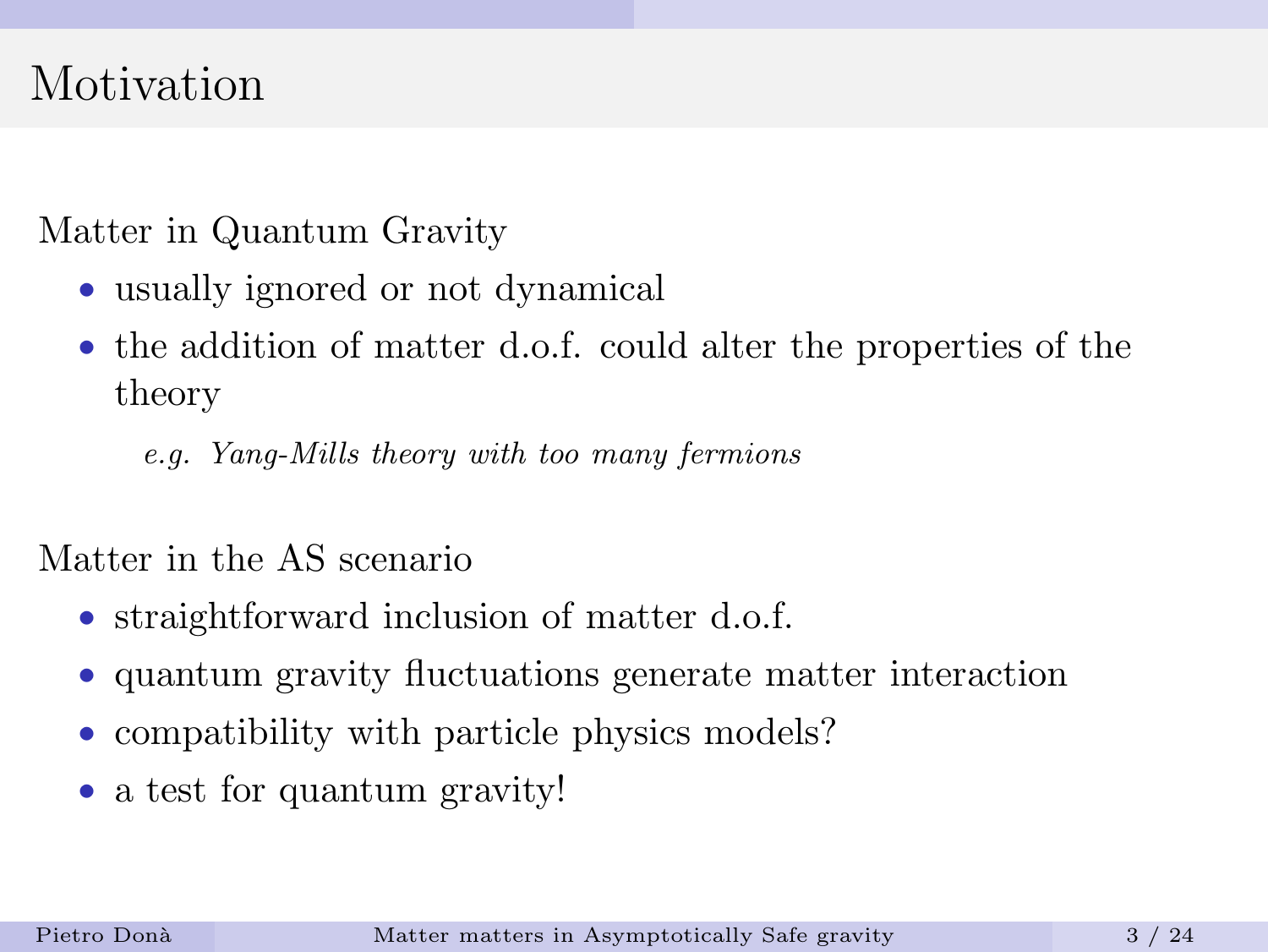## Motivation

Matter in Quantum Gravity

- usually ignored or not dynamical
- the addition of matter d.o.f. could alter the properties of the theory

e.g. Yang-Mills theory with too many fermions

Matter in the AS scenario

- straightforward inclusion of matter d.o.f.
- quantum gravity fluctuations generate matter interaction
- compatibility with particle physics models?
- a test for quantum gravity!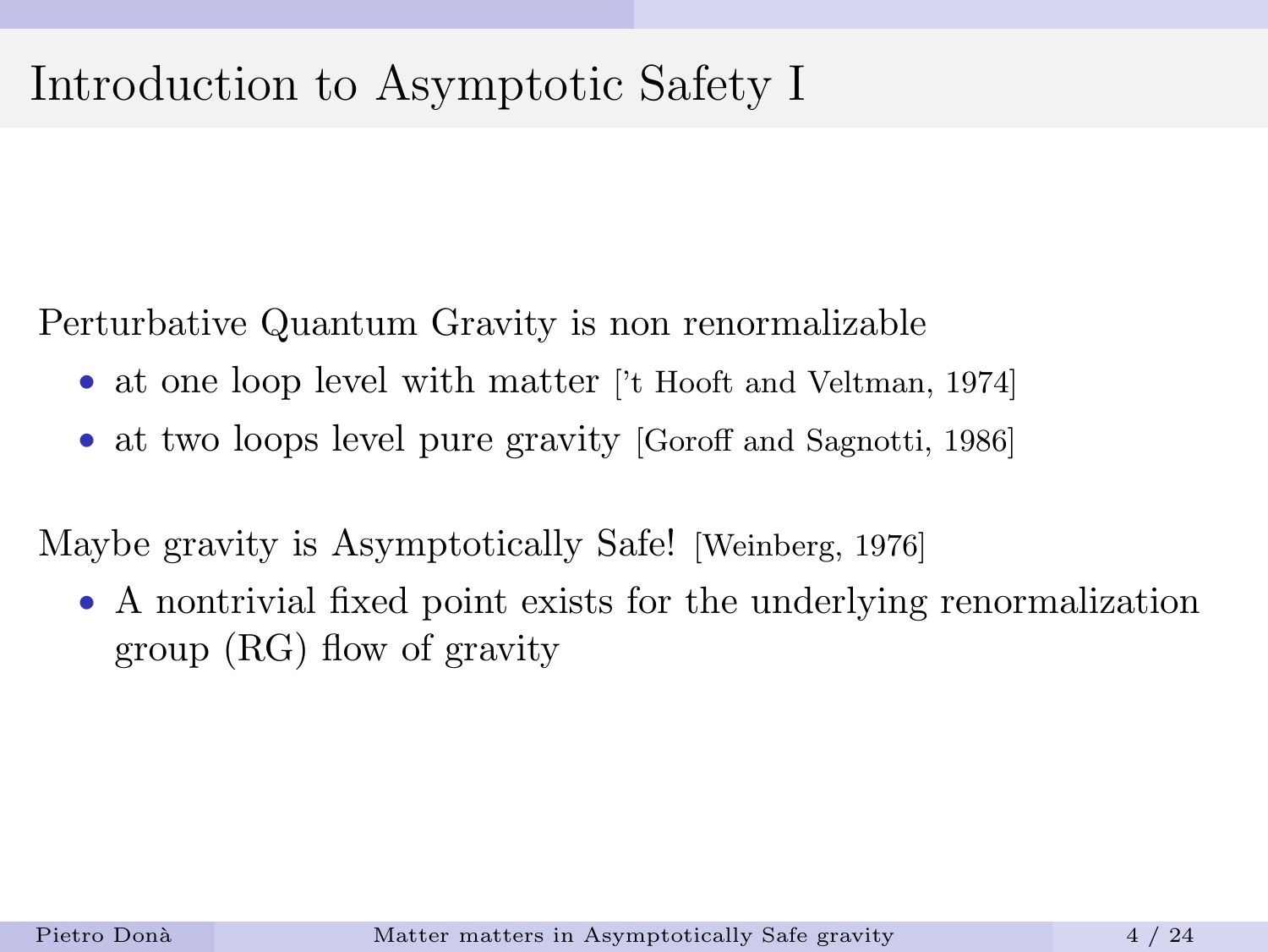# Introduction to Asymptotic Safety I

Perturbative Quantum Gravity is non renormalizable

- at one loop level with matter ['t Hooft and Veltman, 1974]
- at two loops level pure gravity [Goroff and Sagnotti, 1986]

Maybe gravity is Asymptotically Safe! [Weinberg, 1976]

• A nontrivial fixed point exists for the underlying renormalization group (RG) flow of gravity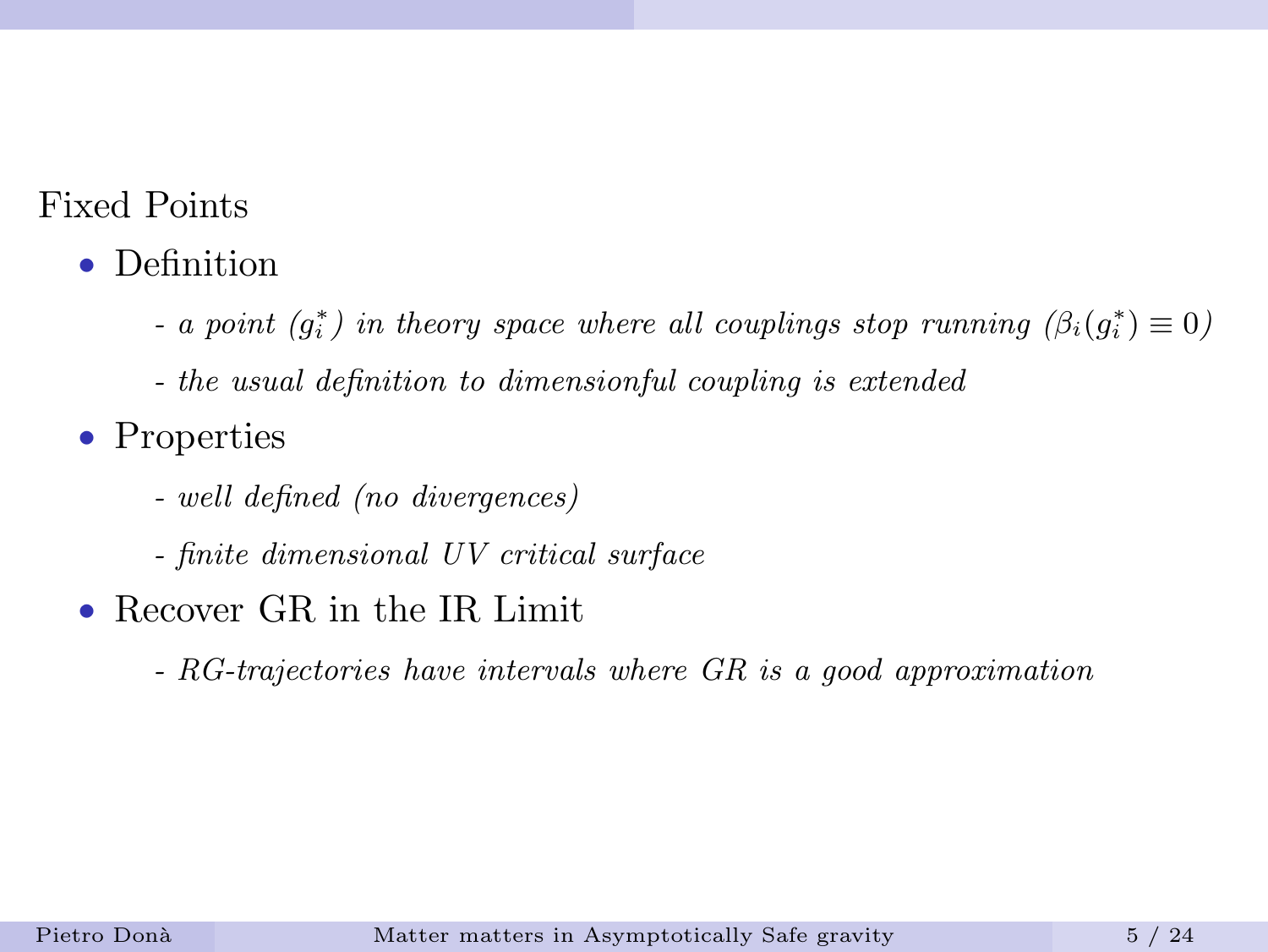### Fixed Points

- Definition
	- a point  $(g_i^*)$  in theory space where all couplings stop running  $(\beta_i(g_i^*) \equiv 0)$
	- the usual definition to dimensionful coupling is extended
- Properties
	- well defined (no divergences)
	- finite dimensional UV critical surface
- Recover GR in the IR Limit
	- RG-trajectories have intervals where GR is a good approximation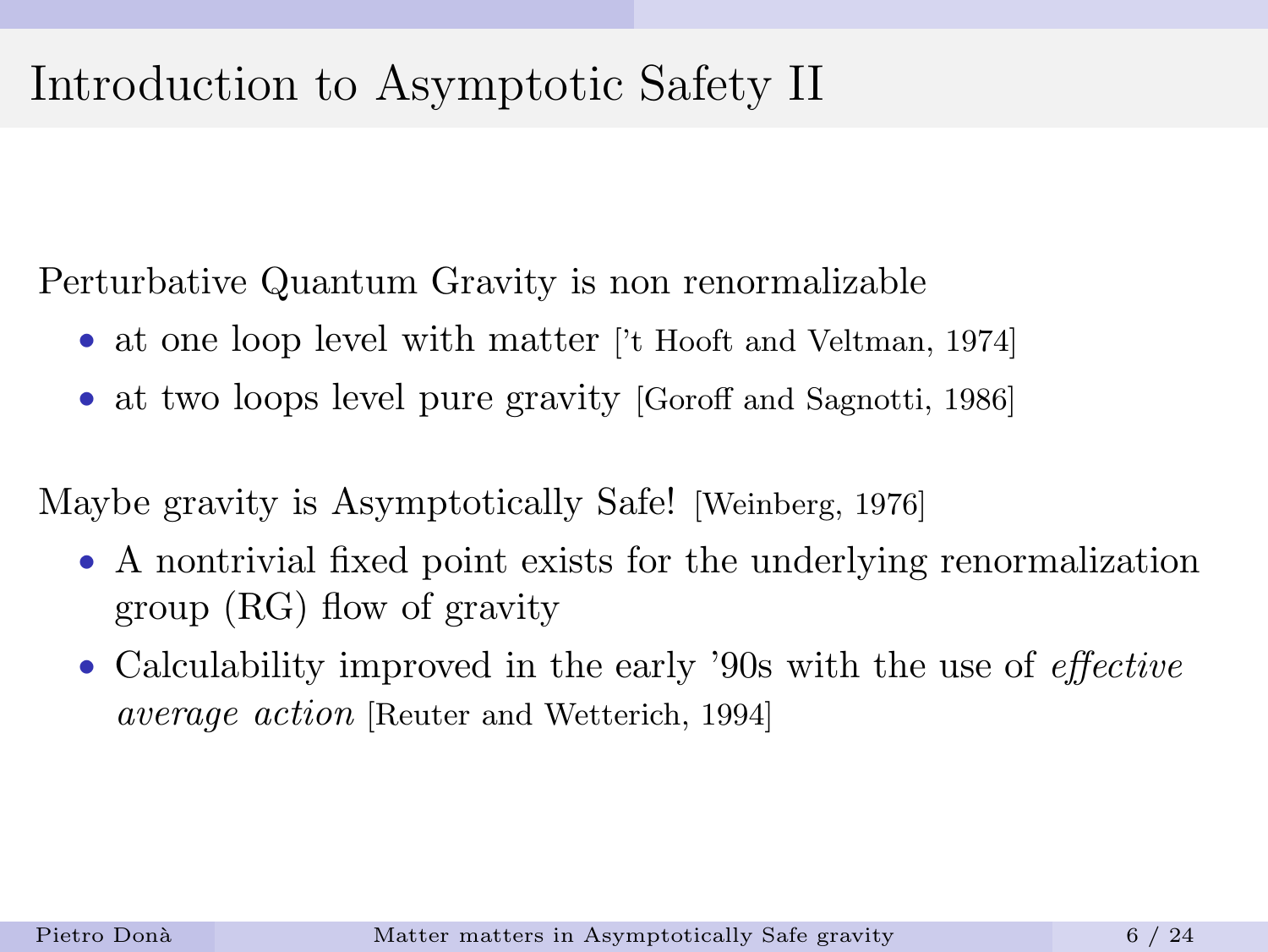# Introduction to Asymptotic Safety II

Perturbative Quantum Gravity is non renormalizable

- at one loop level with matter ['t Hooft and Veltman, 1974]
- at two loops level pure gravity [Goroff and Sagnotti, 1986]

Maybe gravity is Asymptotically Safe! [Weinberg, 1976]

- A nontrivial fixed point exists for the underlying renormalization group (RG) flow of gravity
- Calculability improved in the early '90s with the use of *effective* average action [Reuter and Wetterich, 1994]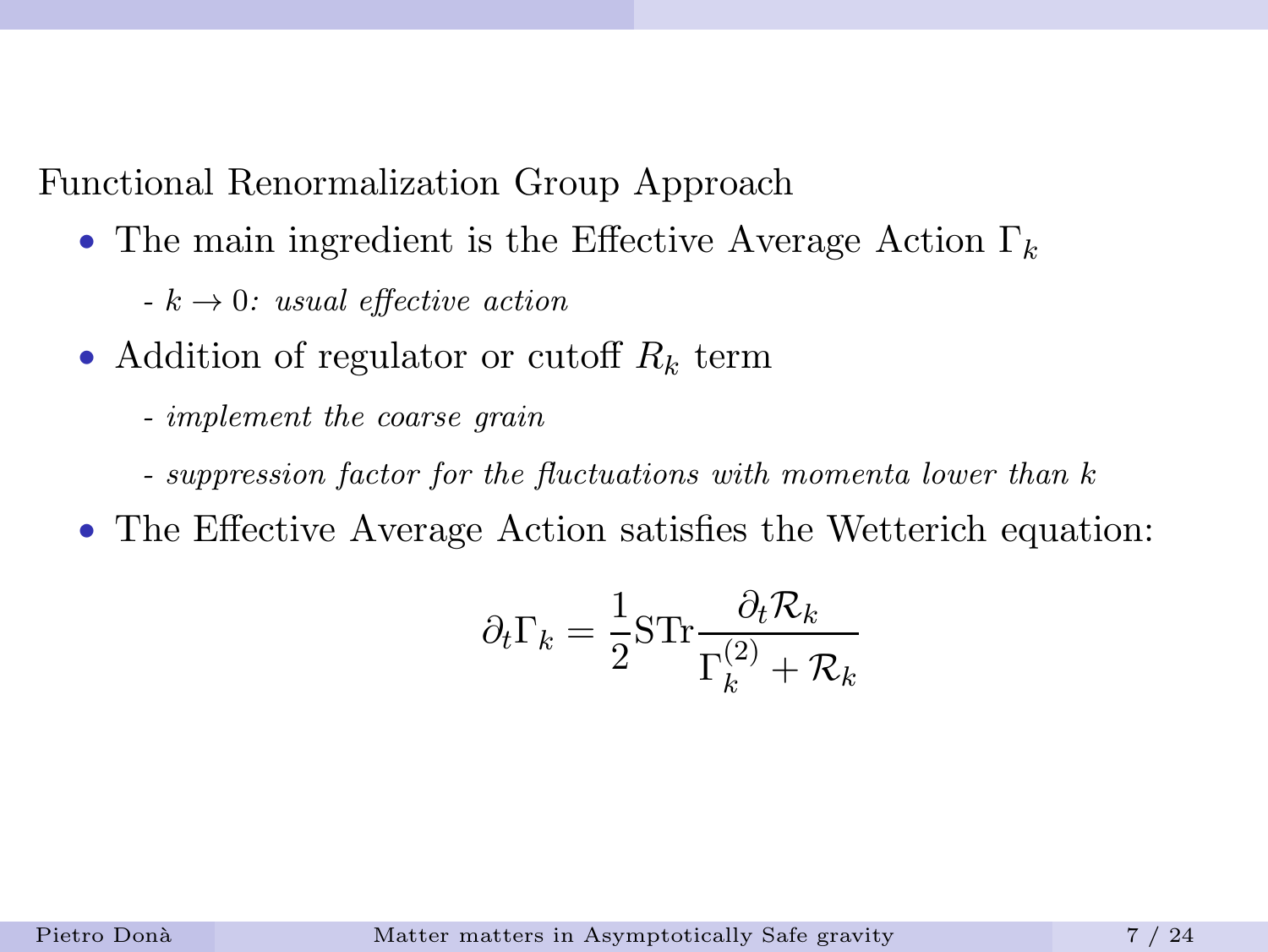Functional Renormalization Group Approach

- The main ingredient is the Effective Average Action  $\Gamma_k$ 
	- $k \rightarrow 0$ : usual effective action
- Addition of regulator or cutoff  $R_k$  term
	- implement the coarse grain
	- suppression factor for the fluctuations with momenta lower than k
- The Effective Average Action satisfies the Wetterich equation:

$$
\partial_t \Gamma_k = \frac{1}{2} \mathrm{STr} \frac{\partial_t \mathcal{R}_k}{\Gamma_k^{(2)} + \mathcal{R}_k}
$$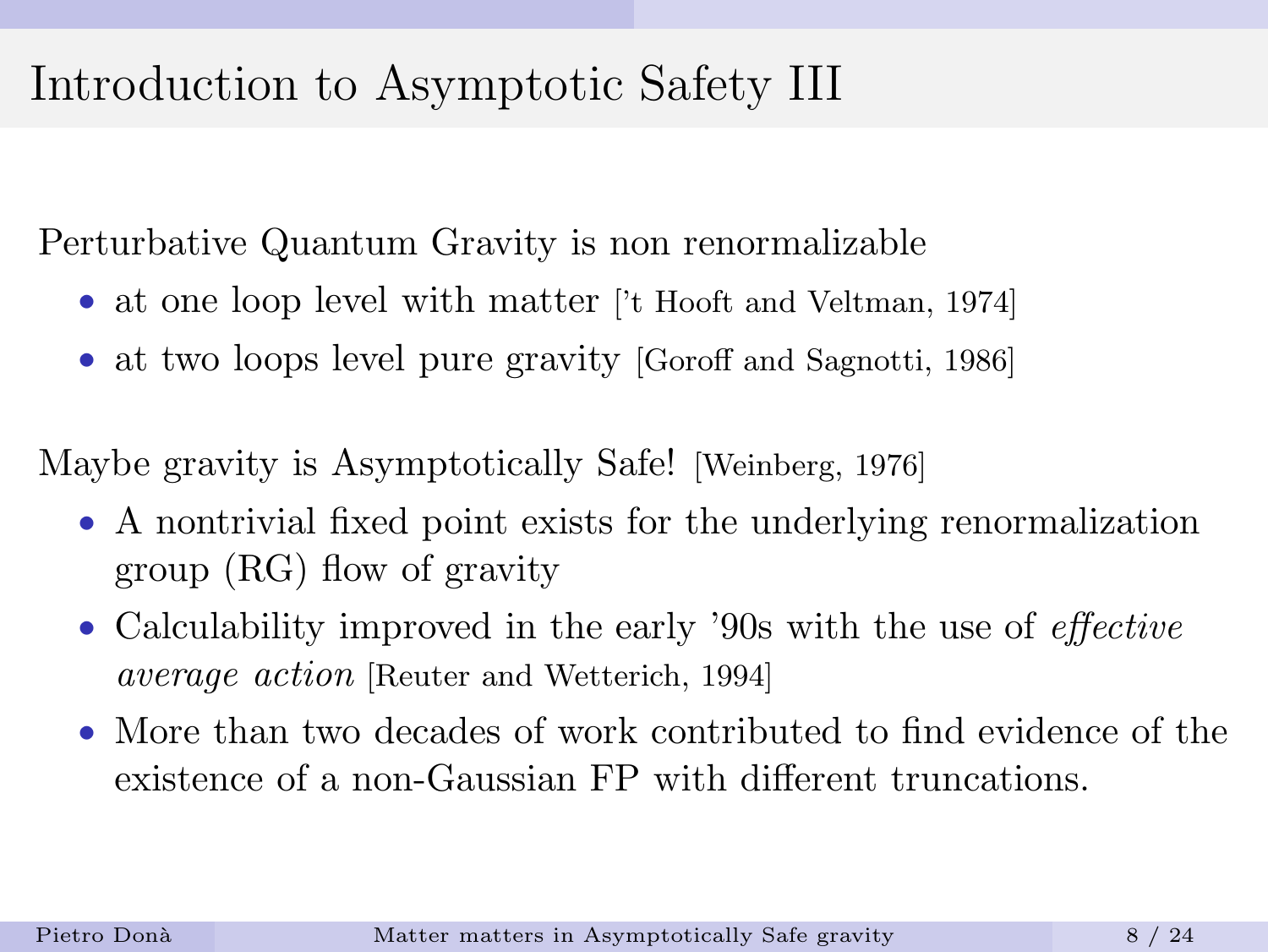# Introduction to Asymptotic Safety III

Perturbative Quantum Gravity is non renormalizable

- at one loop level with matter ['t Hooft and Veltman, 1974]
- at two loops level pure gravity [Goroff and Sagnotti, 1986]

Maybe gravity is Asymptotically Safe! [Weinberg, 1976]

- A nontrivial fixed point exists for the underlying renormalization group (RG) flow of gravity
- Calculability improved in the early '90s with the use of *effective* average action [Reuter and Wetterich, 1994]
- More than two decades of work contributed to find evidence of the existence of a non-Gaussian FP with different truncations.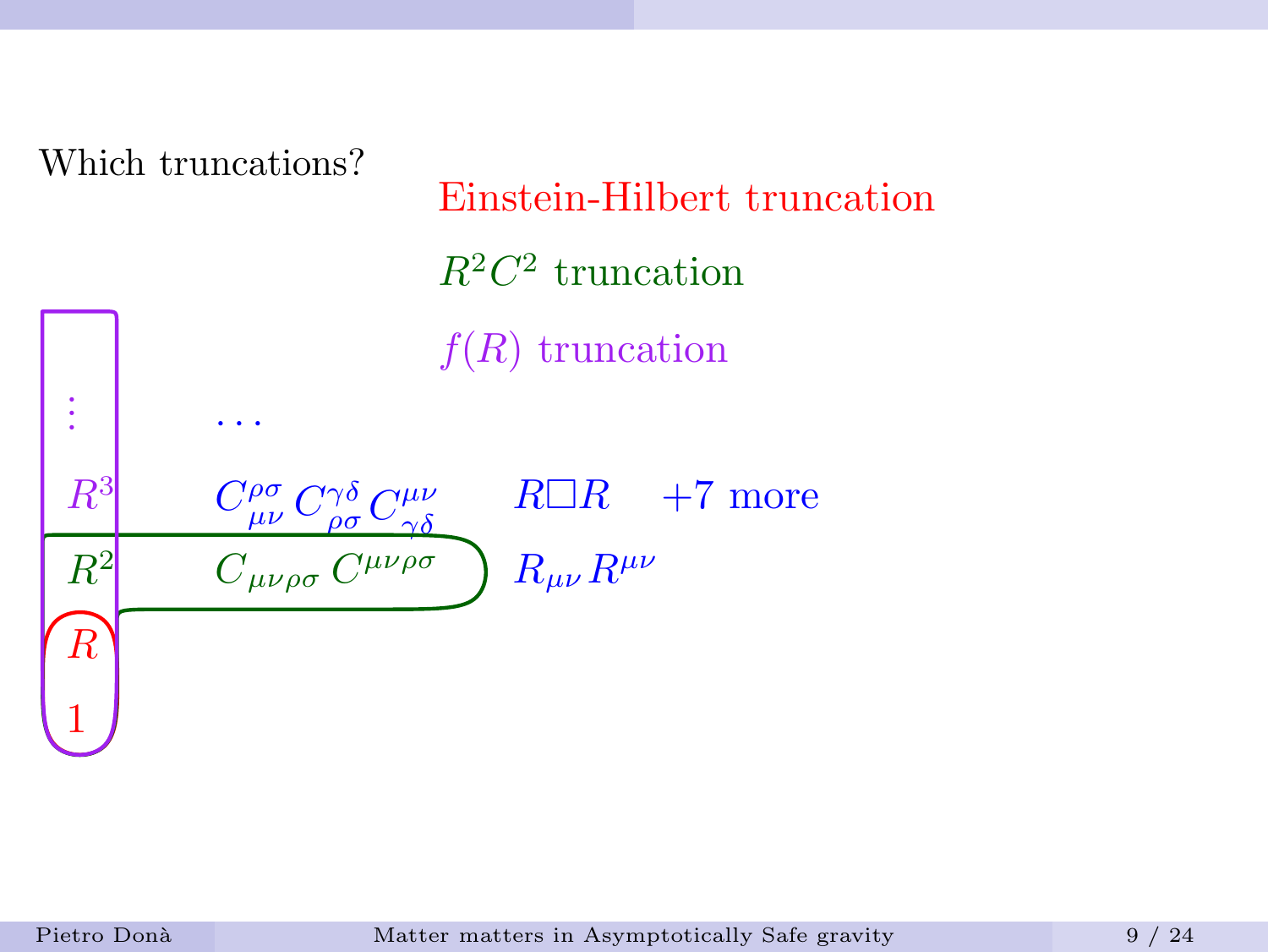Which truncations?

· · ·

Einstein-Hilbert truncation  $R^2C^2$  truncation  $f(R)$  truncation

R  $R^2$  $R^3$  $C_{\mu\nu\rho\sigma}$   $C^{\mu\nu\rho\sigma}$   $\Big)$   $R_{\mu\nu}R^{\mu\nu}$  $C^{\rho\sigma}_{\mu\nu}$   $C^{\gamma\delta}_{\rho\sigma}$   $C^{\mu\nu}_{\gamma\delta}$  $\gamma\delta$  $R\Box R$  +7 more<br>  $R_{\mu\nu}R^{\mu\nu}$ 

1

. . .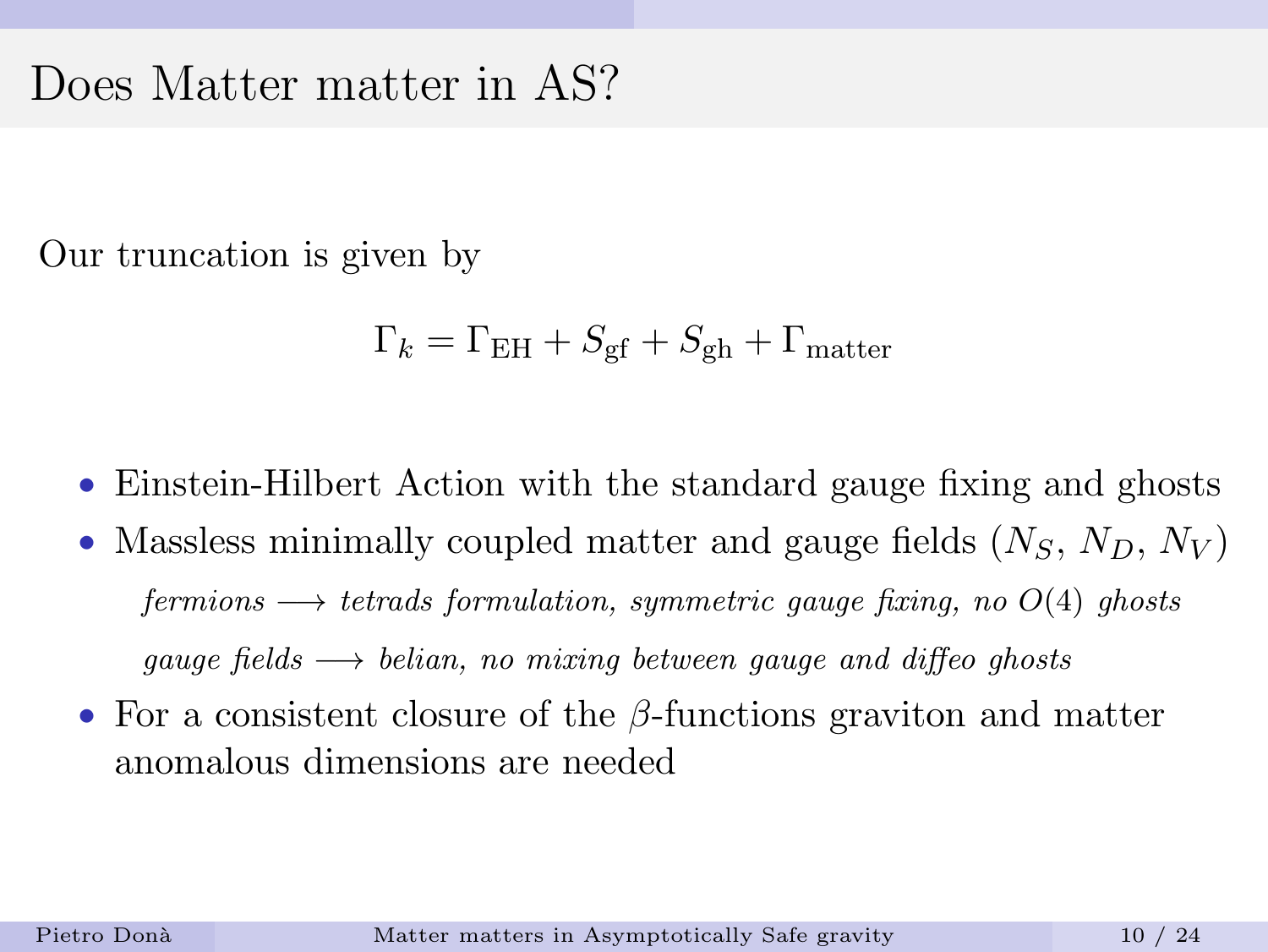### Does Matter matter in AS?

Our truncation is given by

$$
\Gamma_k = \Gamma_{\rm EH} + S_{\rm gf} + S_{\rm gh} + \Gamma_{\rm matter}
$$

- Einstein-Hilbert Action with the standard gauge fixing and ghosts
- Massless minimally coupled matter and gauge fields  $(N_S, N_D, N_V)$ fermions  $\longrightarrow$  tetrads formulation, symmetric gauge fixing, no  $O(4)$  ghosts qauge fields  $\longrightarrow$  belian, no mixing between gauge and diffeo ghosts
- For a consistent closure of the  $\beta$ -functions graviton and matter anomalous dimensions are needed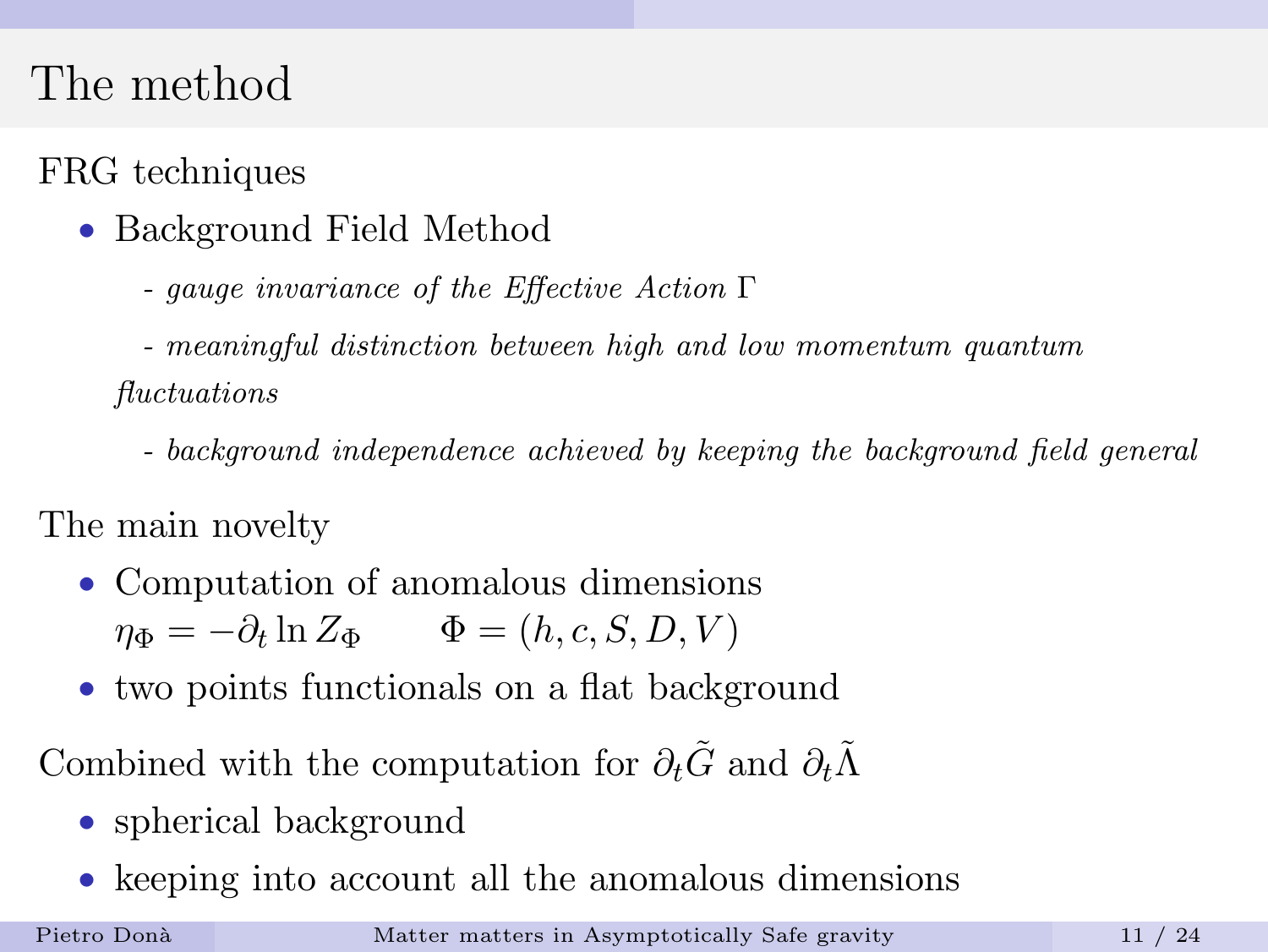# The method

### FRG techniques

- Background Field Method
	- gauge invariance of the Effective Action Γ
	- meaningful distinction between high and low momentum quantum fluctuations
		- background independence achieved by keeping the background field general

The main novelty

- Computation of anomalous dimensions  $\eta_{\Phi} = -\partial_t \ln Z_{\Phi} \qquad \Phi = (h, c, S, D, V)$
- two points functionals on a flat background

Combined with the computation for  $\partial_t \tilde{G}$  and  $\partial_t \tilde{\Lambda}$ 

- spherical background
- keeping into account all the anomalous dimensions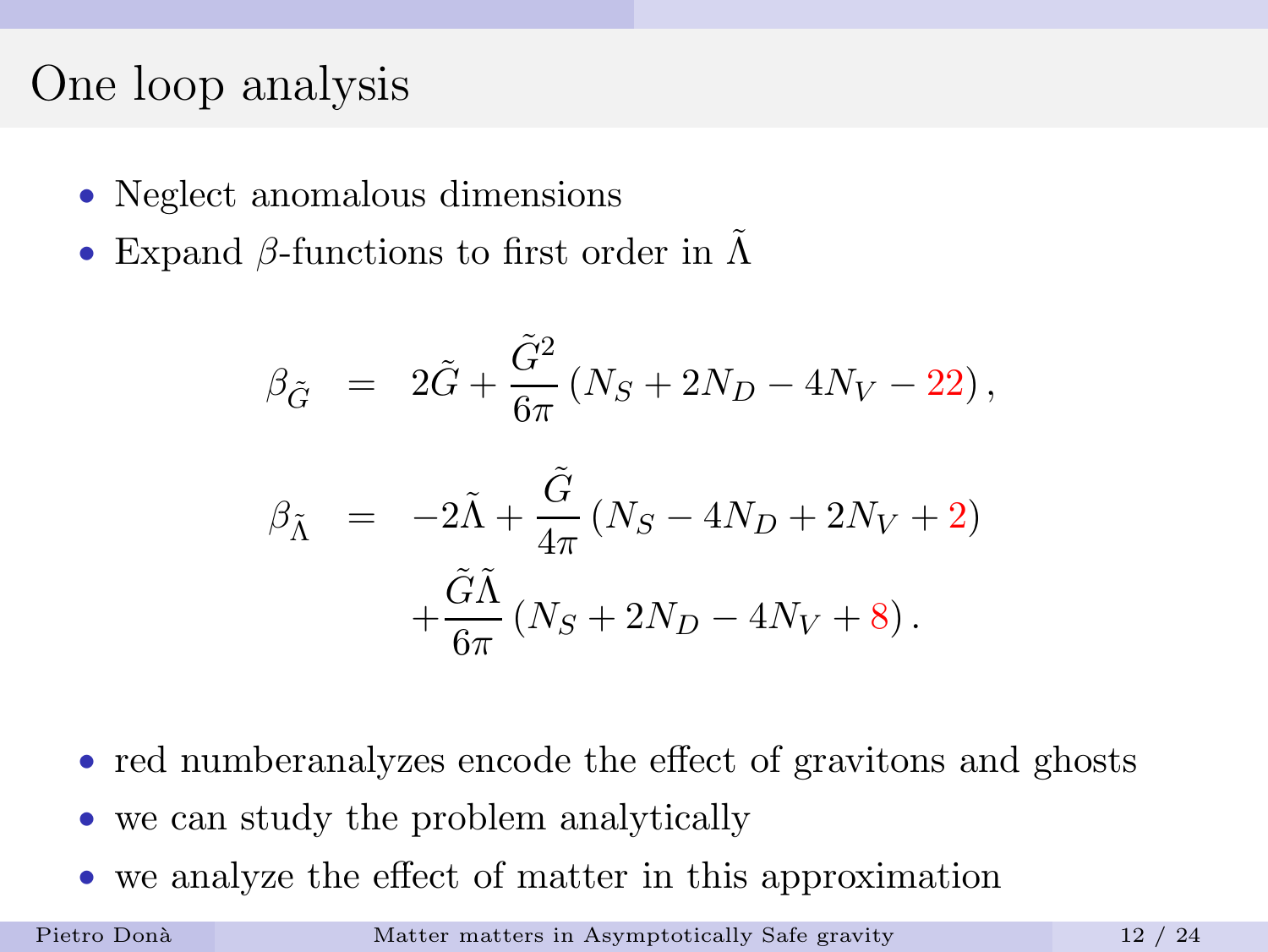### One loop analysis

- Neglect anomalous dimensions
- Expand  $\beta$ -functions to first order in  $\tilde{\Lambda}$

$$
\beta_{\tilde{G}} = 2\tilde{G} + \frac{\tilde{G}^2}{6\pi} (N_S + 2N_D - 4N_V - 22),
$$
  

$$
\beta_{\tilde{\Lambda}} = -2\tilde{\Lambda} + \frac{\tilde{G}}{4\pi} (N_S - 4N_D + 2N_V + 2)
$$
  

$$
+ \frac{\tilde{G}\tilde{\Lambda}}{6\pi} (N_S + 2N_D - 4N_V + 8).
$$

- red number analyzes encode the effect of gravitons and ghosts
- we can study the problem analytically
- we analyze the effect of matter in this approximation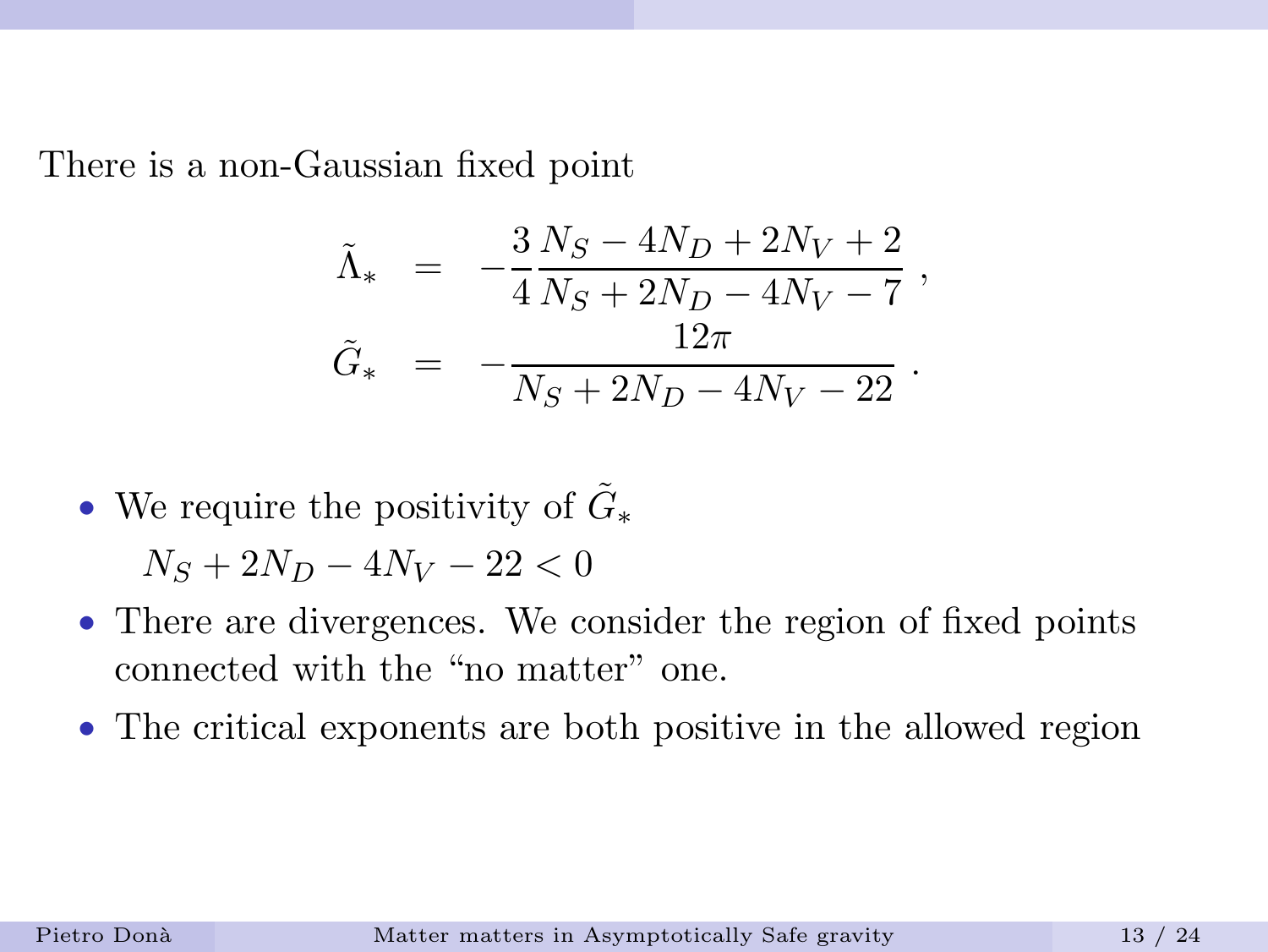There is a non-Gaussian fixed point

$$
\begin{array}{rcl} \tilde{\Lambda}_\ast &=& -\frac{3}{4}\frac{N_S-4N_D+2N_V+2}{N_S+2N_D-4N_V-7}\;,\\[2ex] \tilde{G}_\ast &=& -\frac{12\pi}{N_S+2N_D-4N_V-22}\;. \end{array}
$$

- We require the positivity of  $\tilde{G}_{*}$  $N_S + 2N_D - 4N_V - 22 < 0$
- There are divergences. We consider the region of fixed points connected with the "no matter" one.
- The critical exponents are both positive in the allowed region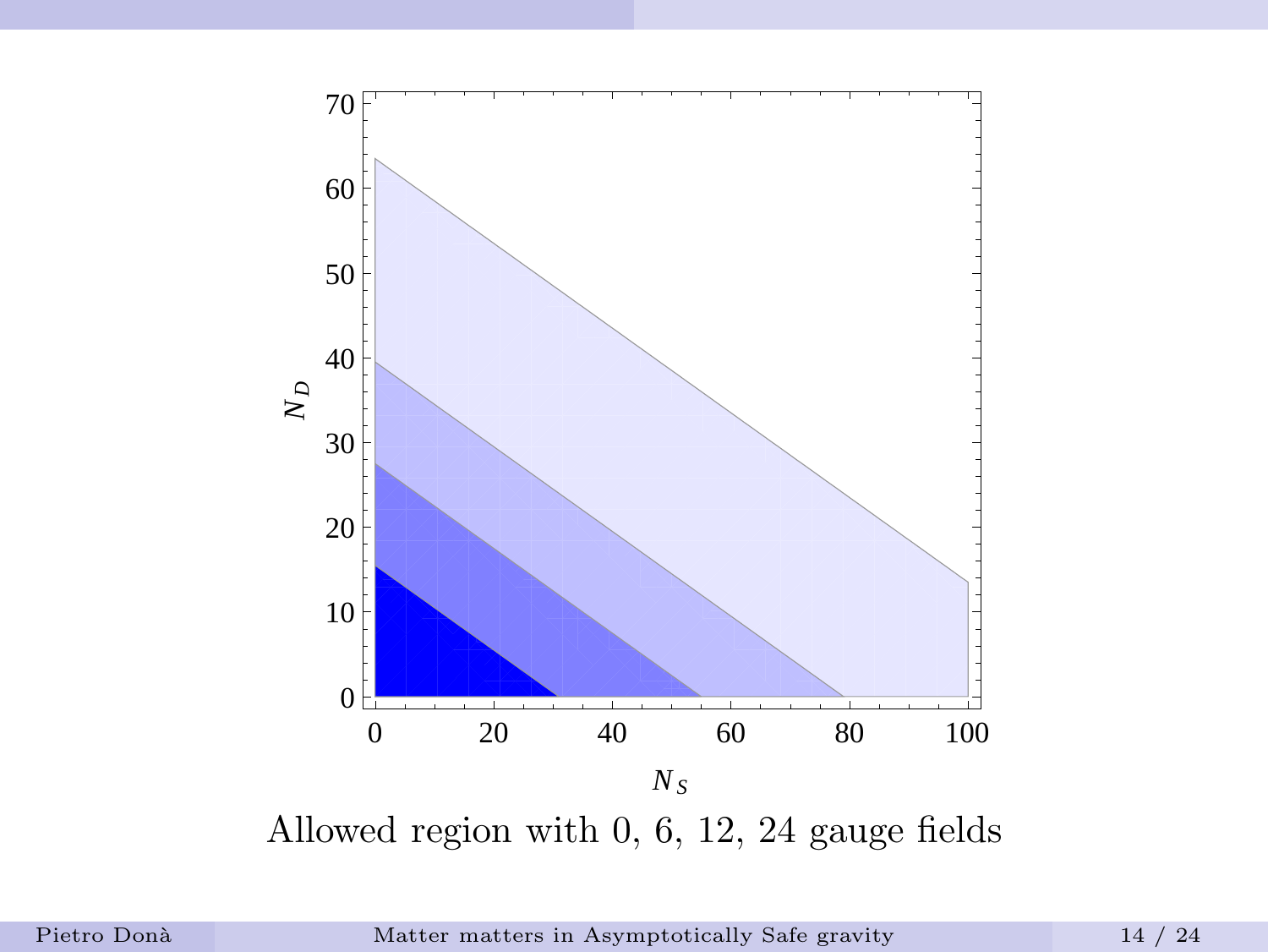

Allowed region with 0, 6, 12, 24 gauge fields

Pietro Donà [Matter matters in Asymptotically Safe gravity](#page-0-0) 14 / 24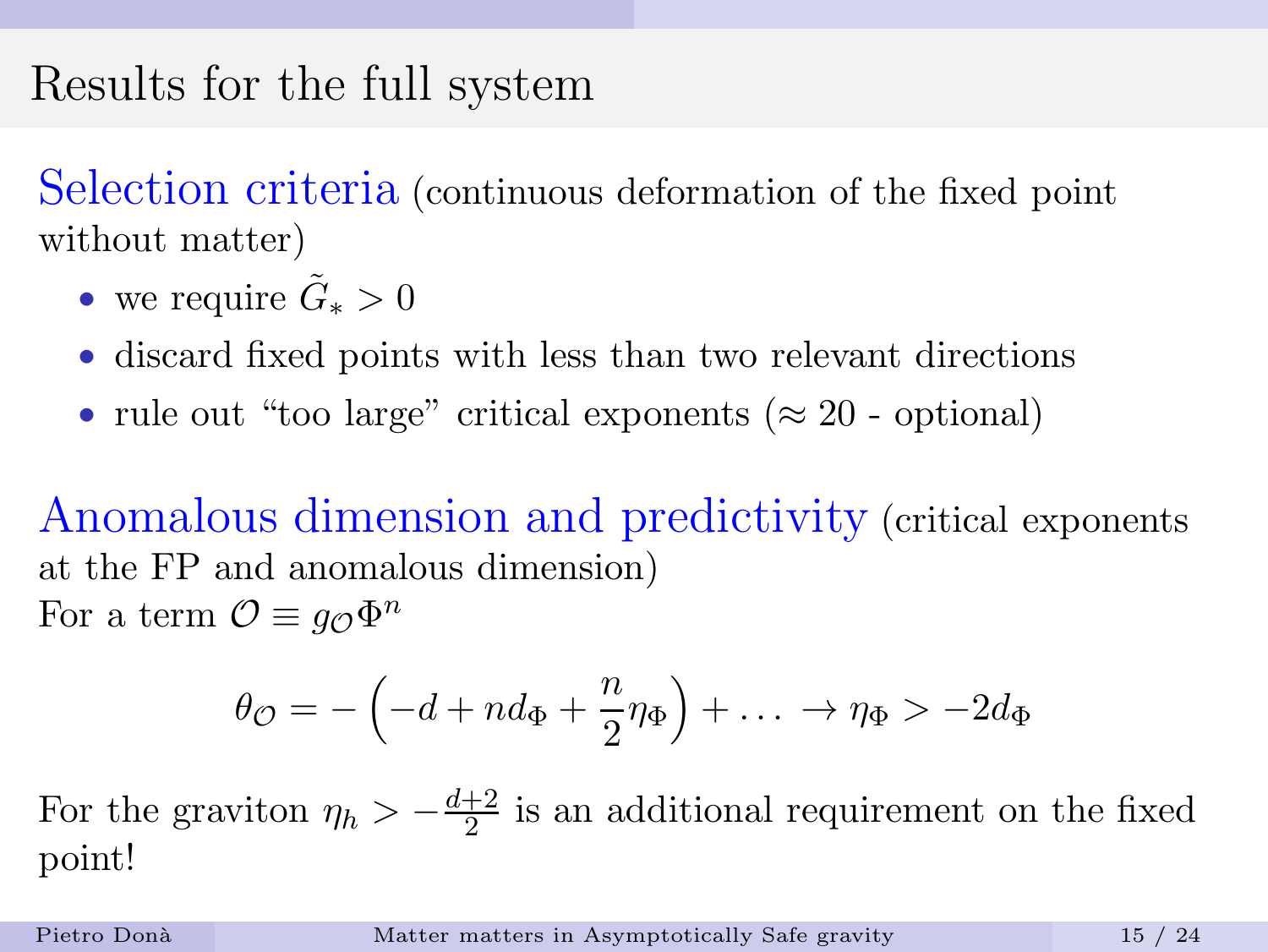# Results for the full system

Selection criteria (continuous deformation of the fixed point without matter)

- we require  $\tilde{G}_* > 0$
- discard fixed points with less than two relevant directions
- rule out "too large" critical exponents ( $\approx 20$  optional)

Anomalous dimension and predictivity (critical exponents at the FP and anomalous dimension) For a term  $\mathcal{O} \equiv g_{\mathcal{O}} \Phi^n$ 

$$
\theta_{\mathcal{O}} = -\left(-d + nd_{\Phi} + \frac{n}{2}\eta_{\Phi}\right) + \ldots \rightarrow \eta_{\Phi} > -2d_{\Phi}
$$

For the graviton  $\eta_h > -\frac{d+2}{2}$  $\frac{+2}{2}$  is an additional requirement on the fixed point!

Pietro Donà [Matter matters in Asymptotically Safe gravity](#page-0-0) 15 / 24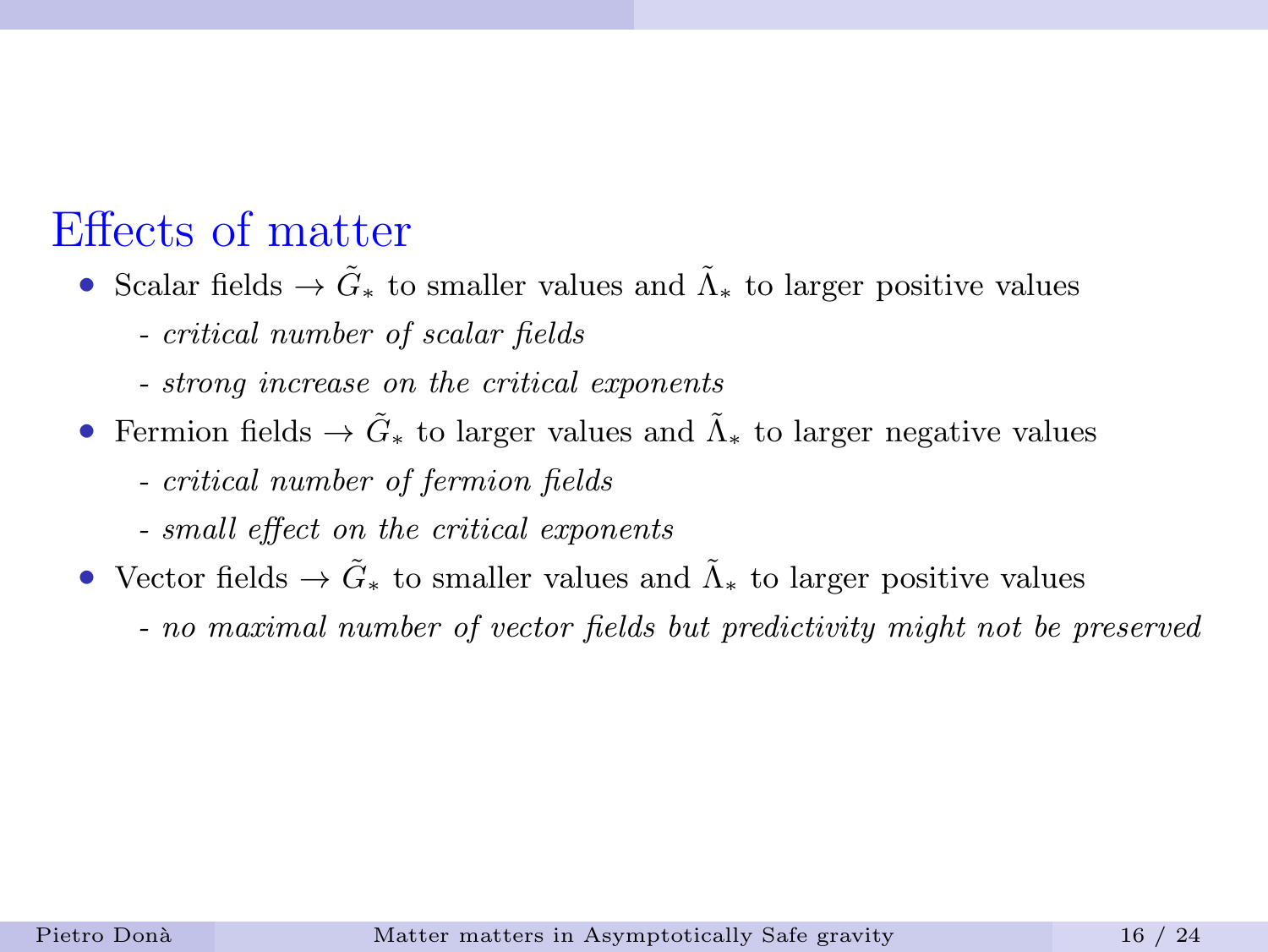### Effects of matter

- Scalar fields  $\rightarrow \tilde{G}_*$  to smaller values and  $\tilde{\Lambda}_*$  to larger positive values
	- critical number of scalar fields
	- strong increase on the critical exponents
- Fermion fields  $\rightarrow \tilde{G}_*$  to larger values and  $\tilde{\Lambda}_*$  to larger negative values
	- critical number of fermion fields
	- small effect on the critical exponents
- Vector fields  $\rightarrow \tilde{G}_*$  to smaller values and  $\tilde{\Lambda}_*$  to larger positive values
	- no maximal number of vector fields but predictivity might not be preserved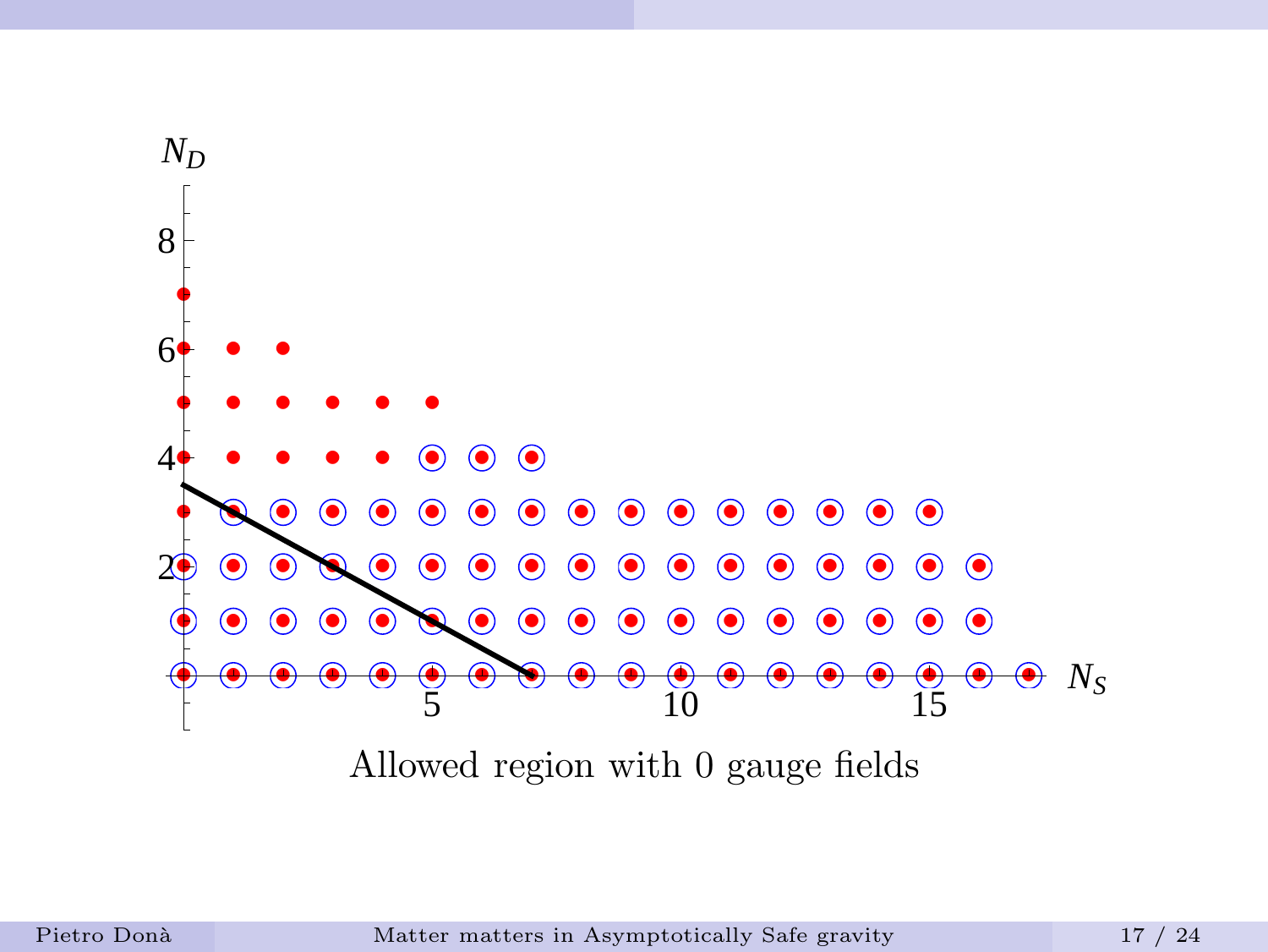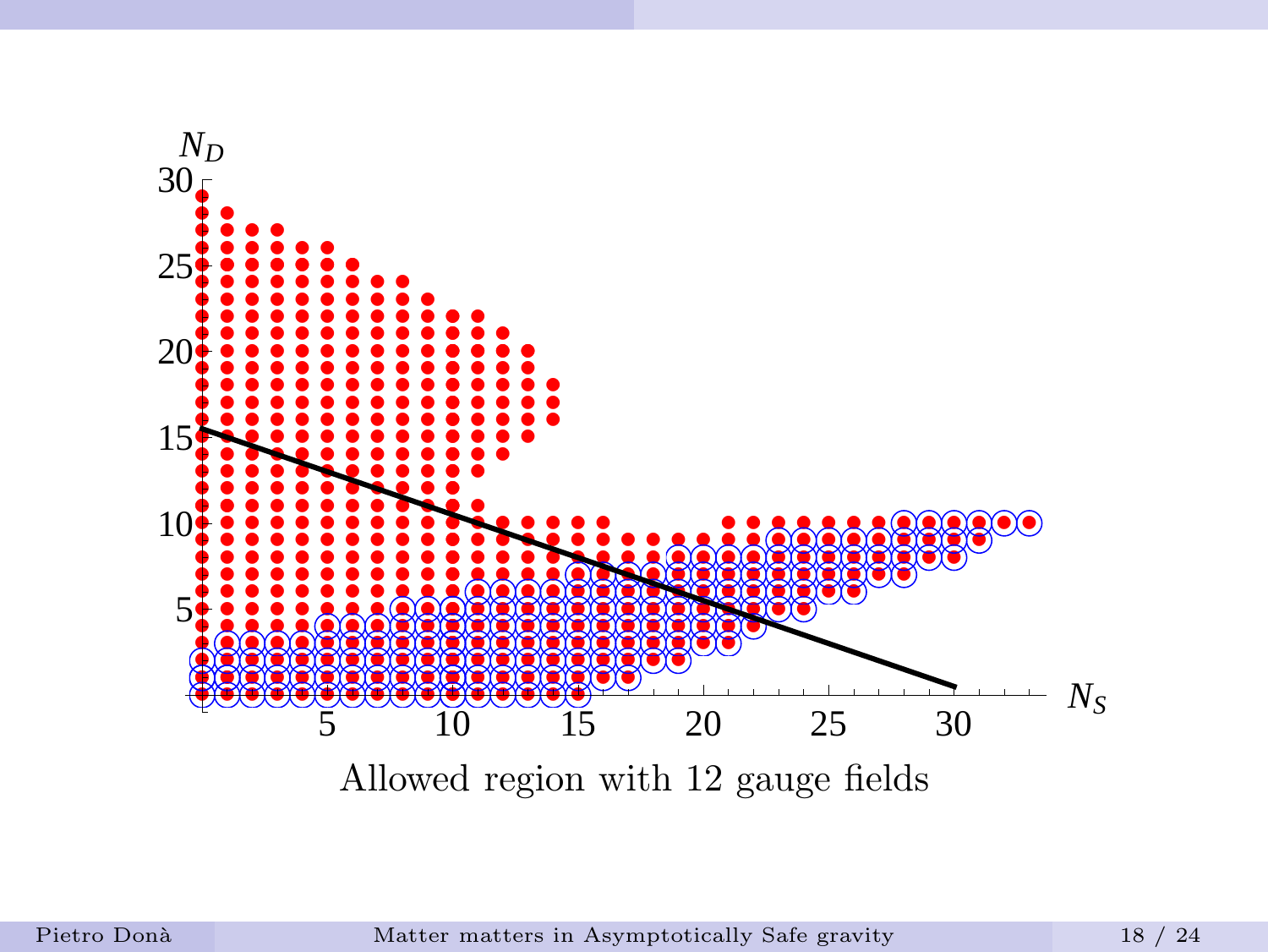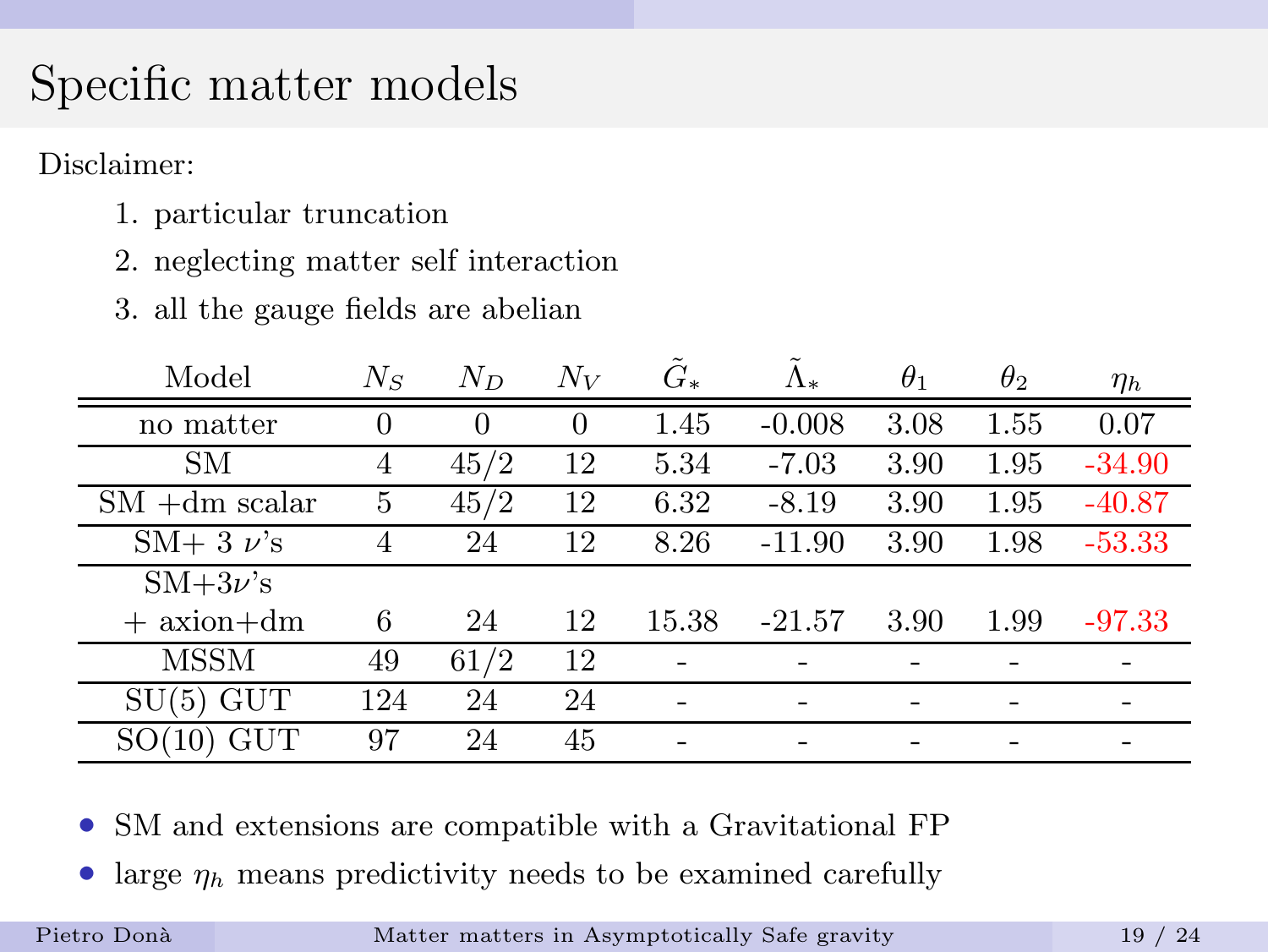# Specific matter models

Disclaimer:

- 1. particular truncation
- 2. neglecting matter self interaction
- 3. all the gauge fields are abelian

| Model                | $N_{S}$  | $N_D$    | $N_V$    | $G_*$ | Λ.       | $\theta_1$ | $\theta_2$ | $\eta_h$ |
|----------------------|----------|----------|----------|-------|----------|------------|------------|----------|
| no matter            | $\Omega$ | $\Omega$ | $\theta$ | 1.45  | $-0.008$ | 3.08       | 1.55       | 0.07     |
| SМ                   | 4        | 45/2     | 12       | 5.34  | $-7.03$  | 3.90       | 1.95       | $-34.90$ |
| $SM + dm$ scalar     | 5        | 45/2     | 12       | 6.32  | $-8.19$  | 3.90       | 1.95       | $-40.87$ |
| $SM+3 \nu$ 's        | 4        | 24       | 12       | 8.26  | $-11.90$ | 3.90       | 1.98       | $-53.33$ |
| $SM+3\nu$ 's         |          |          |          |       |          |            |            |          |
| $+$ axion $+dm$      | 6        | 24       | 12       | 15.38 | $-21.57$ | 3.90       | 1.99       | $-97.33$ |
| MSSM                 | 49       | 61/2     | 12       |       |          |            |            |          |
| <b>GUT</b><br>SU(5)  | 124      | 24       | 24       |       |          |            |            |          |
| $\operatorname{GUT}$ | 97       | 24       | 45       |       |          |            |            |          |

- SM and extensions are compatible with a Gravitational FP
- large  $\eta_h$  means predictivity needs to be examined carefully

Pietro Donà [Matter matters in Asymptotically Safe gravity](#page-0-0) 19 / 24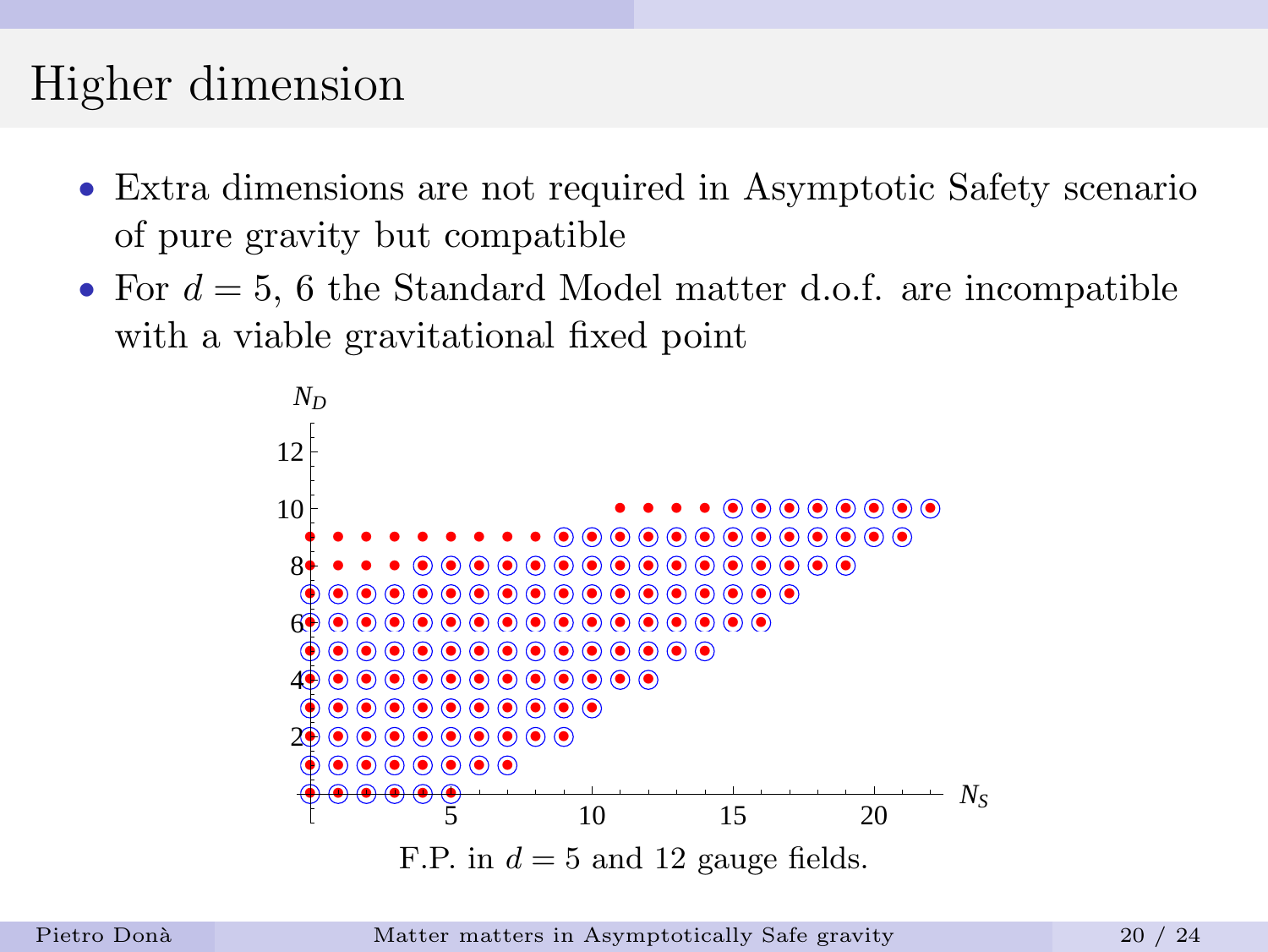# Higher dimension

- Extra dimensions are not required in Asymptotic Safety scenario of pure gravity but compatible
- For  $d = 5$ , 6 the Standard Model matter d.o.f. are incompatible with a viable gravitational fixed point



Pietro Donà [Matter matters in Asymptotically Safe gravity](#page-0-0) 20 / 24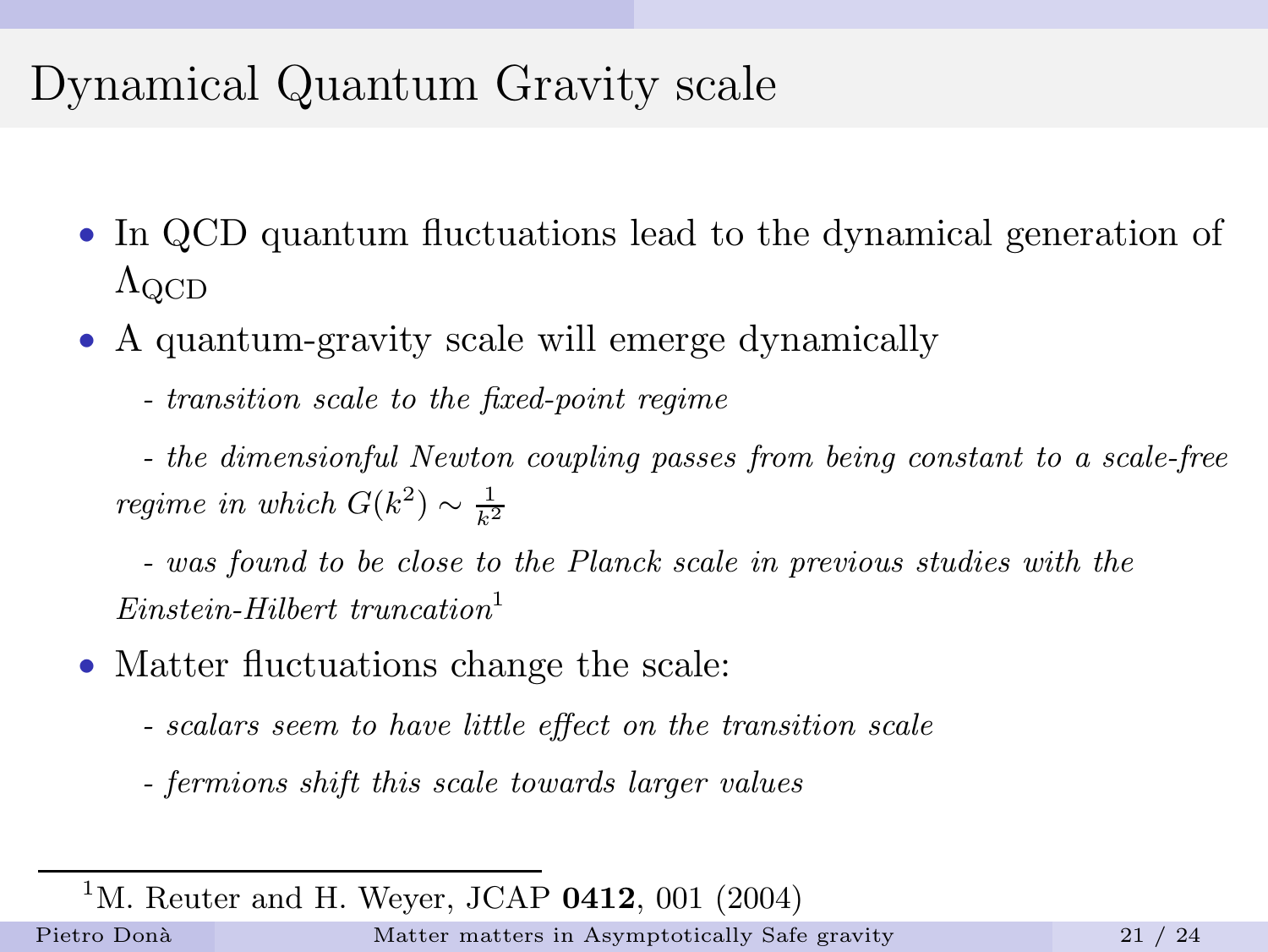# Dynamical Quantum Gravity scale

- In QCD quantum fluctuations lead to the dynamical generation of  $\Lambda_{\rm QCD}$
- A quantum-gravity scale will emerge dynamically
	- transition scale to the fixed-point regime

- the dimensionful Newton coupling passes from being constant to a scale-free regime in which  $G(k^2) \sim \frac{1}{k^2}$ 

- was found to be close to the Planck scale in previous studies with the  $Einstein-Hilbert$  truncation<sup>1</sup>

- Matter fluctuations change the scale:
	- scalars seem to have little effect on the transition scale
	- fermions shift this scale towards larger values

<sup>1</sup>M. Reuter and H. Weyer, JCAP  $0412$ , 001 (2004)

Pietro Donà [Matter matters in Asymptotically Safe gravity](#page-0-0) 21 / 24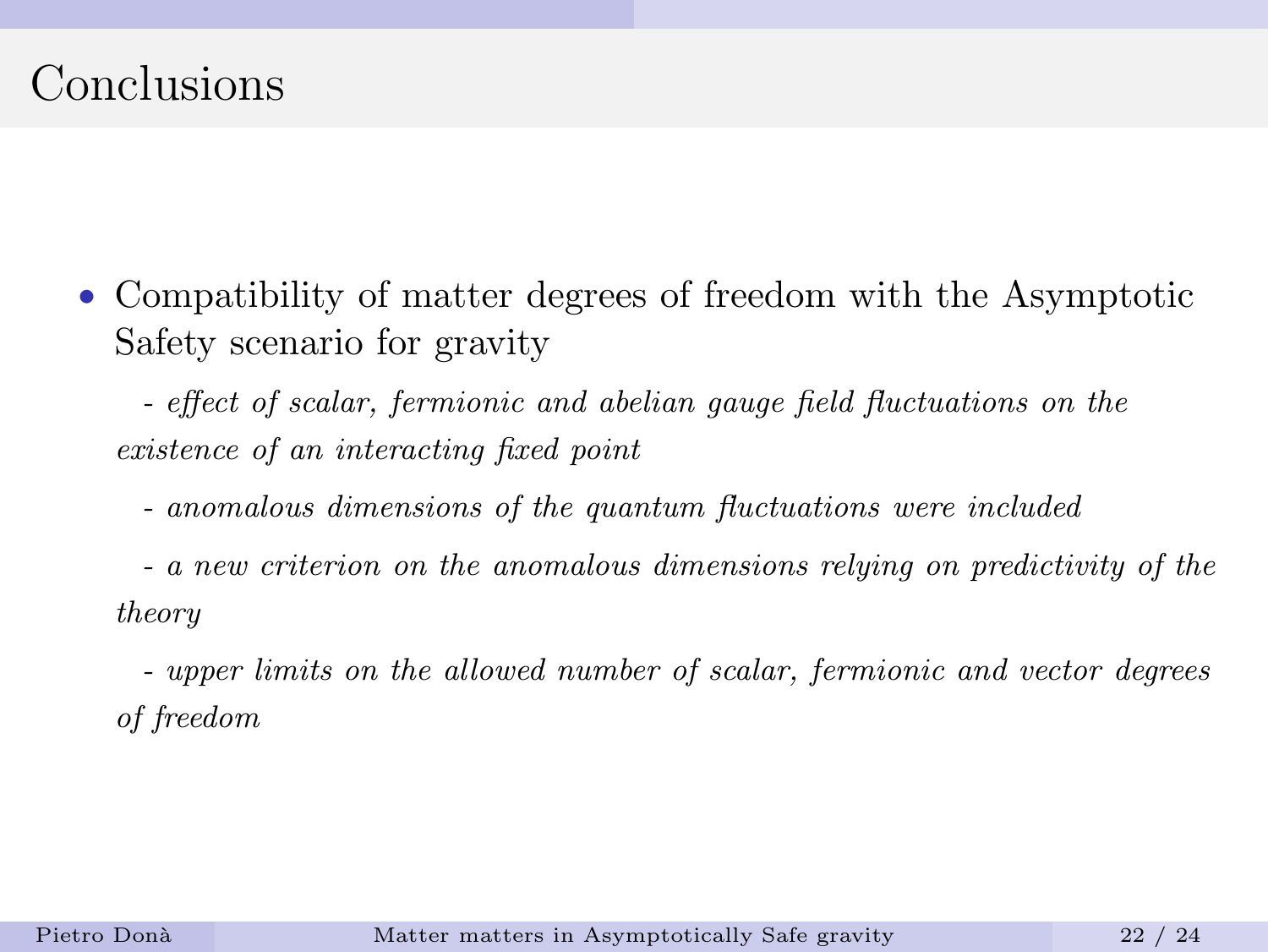### Conclusions

• Compatibility of matter degrees of freedom with the Asymptotic Safety scenario for gravity

- effect of scalar, fermionic and abelian gauge field fluctuations on the existence of an interacting fixed point

- anomalous dimensions of the quantum fluctuations were included

- a new criterion on the anomalous dimensions relying on predictivity of the theory

- upper limits on the allowed number of scalar, fermionic and vector degrees of freedom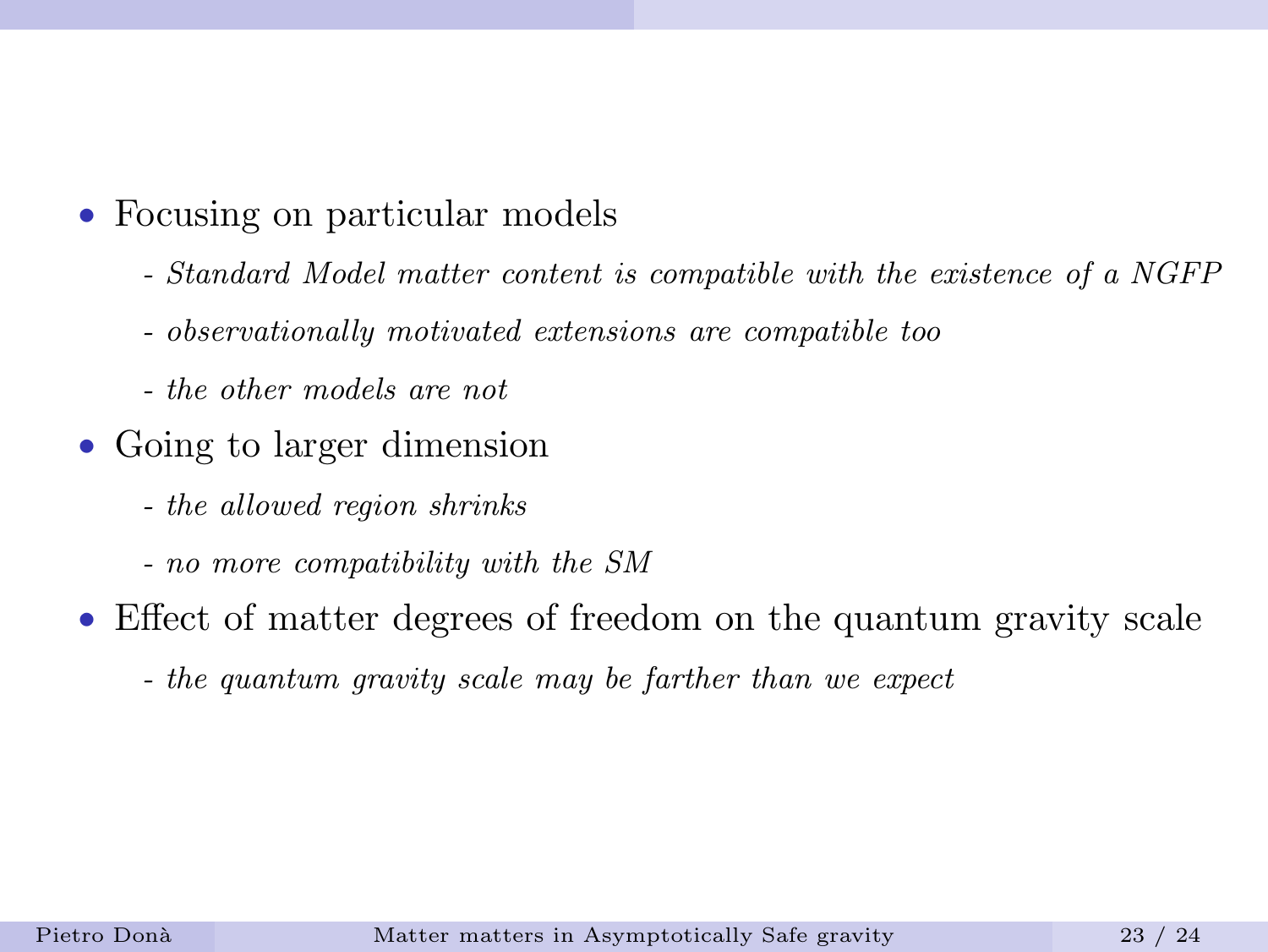- Focusing on particular models
	- Standard Model matter content is compatible with the existence of a NGFP
	- observationally motivated extensions are compatible too
	- the other models are not
- Going to larger dimension
	- the allowed region shrinks
	- no more compatibility with the SM
- Effect of matter degrees of freedom on the quantum gravity scale
	- the quantum gravity scale may be farther than we expect